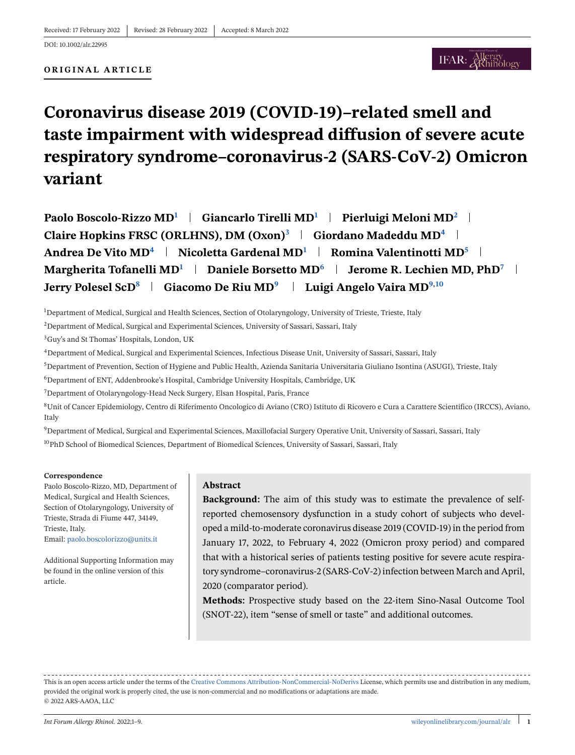**ORIGINAL ARTICLE**

# **Coronavirus disease 2019 (COVID-19)–related smell and taste impairment with widespread diffusion of severe acute respiratory syndrome–coronavirus-2 (SARS-CoV-2) Omicron variant**

**Paolo Boscolo-Rizzo MD<sup>1</sup> Giancarlo Tirelli MD<sup>1</sup> Pierluigi Meloni MD<sup>2</sup>** Claire Hopkins FRSC (ORLHNS), DM (Oxon)<sup>3</sup> | Giordano Madeddu MD<sup>4</sup> | **Andrea De Vito MD<sup>4</sup> Nicoletta Gardenal MD<sup>1</sup> Romina Valentinotti MD<sup>5</sup> Margherita Tofanelli MD<sup>1</sup> | Daniele Borsetto MD<sup>6</sup> | Jerome R. Lechien MD, PhD<sup>7</sup> | Jerry Polesel ScD<sup>8</sup> Giacomo De Riu MD<sup>9</sup> Luigi Angelo Vaira MD9,10**

1 Department of Medical, Surgical and Health Sciences, Section of Otolaryngology, University of Trieste, Trieste, Italy

<sup>2</sup>Department of Medical, Surgical and Experimental Sciences, University of Sassari, Sassari, Italy

3Guy's and St Thomas' Hospitals, London, UK

4Department of Medical, Surgical and Experimental Sciences, Infectious Disease Unit, University of Sassari, Sassari, Italy

5Department of Prevention, Section of Hygiene and Public Health, Azienda Sanitaria Universitaria Giuliano Isontina (ASUGI), Trieste, Italy

6Department of ENT, Addenbrooke's Hospital, Cambridge University Hospitals, Cambridge, UK

7Department of Otolaryngology-Head Neck Surgery, Elsan Hospital, Paris, France

8Unit of Cancer Epidemiology, Centro di Riferimento Oncologico di Aviano (CRO) Istituto di Ricovero e Cura a Carattere Scientifico (IRCCS), Aviano, Italy

9Department of Medical, Surgical and Experimental Sciences, Maxillofacial Surgery Operative Unit, University of Sassari, Sassari, Italy <sup>10</sup>PhD School of Biomedical Sciences, Department of Biomedical Sciences, University of Sassari, Sassari, Italy

#### **Correspondence**

Paolo Boscolo-Rizzo, MD, Department of Medical, Surgical and Health Sciences, Section of Otolaryngology, University of Trieste, Strada di Fiume 447, 34149, Trieste, Italy. Email: [paolo.boscolorizzo@units.it](mailto:paolo.boscolorizzo@units.it)

Additional Supporting Information may be found in the online version of this article.

#### **Abstract**

**Background:** The aim of this study was to estimate the prevalence of selfreported chemosensory dysfunction in a study cohort of subjects who developed a mild-to-moderate coronavirus disease 2019 (COVID-19) in the period from January 17, 2022, to February 4, 2022 (Omicron proxy period) and compared that with a historical series of patients testing positive for severe acute respiratory syndrome–coronavirus-2 (SARS-CoV-2) infection between March and April, 2020 (comparator period).

**Methods:** Prospective study based on the 22-item Sino-Nasal Outcome Tool (SNOT-22), item "sense of smell or taste" and additional outcomes.

This is an open access article under the terms of the [Creative Commons Attribution-NonCommercial-NoDerivs](http://creativecommons.org/licenses/by-nc-nd/4.0/) License, which permits use and distribution in any medium, provided the original work is properly cited, the use is non-commercial and no modifications or adaptations are made. © 2022 ARS-AAOA, LLC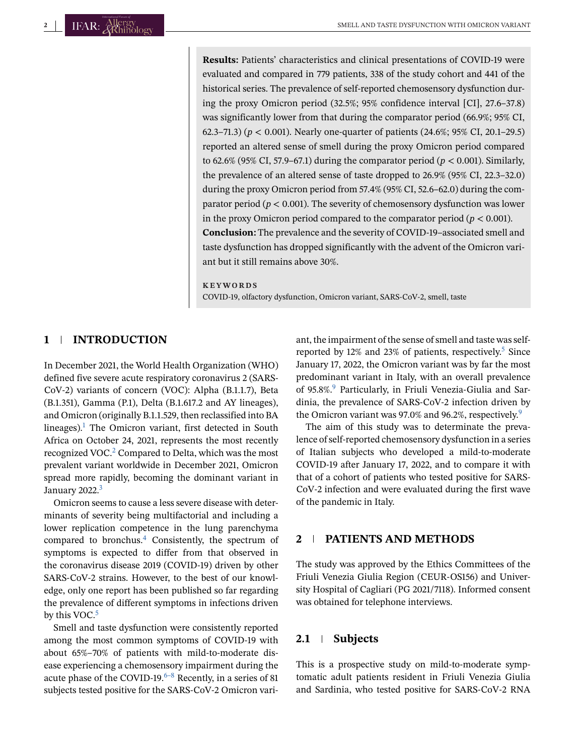**Results:** Patients' characteristics and clinical presentations of COVID-19 were evaluated and compared in 779 patients, 338 of the study cohort and 441 of the historical series. The prevalence of self-reported chemosensory dysfunction during the proxy Omicron period (32.5%; 95% confidence interval [CI], 27.6–37.8) was significantly lower from that during the comparator period (66.9%; 95% CI, 62.3–71.3) (*p* < 0.001). Nearly one-quarter of patients (24.6%; 95% CI, 20.1–29.5) reported an altered sense of smell during the proxy Omicron period compared to 62.6% (95% CI, 57.9–67.1) during the comparator period ( $p < 0.001$ ). Similarly, the prevalence of an altered sense of taste dropped to 26.9% (95% CI, 22.3–32.0) during the proxy Omicron period from 57.4% (95% CI, 52.6–62.0) during the comparator period ( $p < 0.001$ ). The severity of chemosensory dysfunction was lower in the proxy Omicron period compared to the comparator period ( $p < 0.001$ ). **Conclusion:** The prevalence and the severity of COVID-19–associated smell and taste dysfunction has dropped significantly with the advent of the Omicron variant but it still remains above 30%.

#### **KEYWORDS**

COVID-19, olfactory dysfunction, Omicron variant, SARS-CoV-2, smell, taste

# **1 INTRODUCTION**

In December 2021, the World Health Organization (WHO) defined five severe acute respiratory coronavirus 2 (SARS-CoV-2) variants of concern (VOC): Alpha (B.1.1.7), Beta (B.1.351), Gamma (P.1), Delta (B.1.617.2 and AY lineages), and Omicron (originally B.1.1.529, then reclassified into BA lineages).<sup>1</sup> The Omicron variant, first detected in South Africa on October 24, 2021, represents the most recently recognized VOC.<sup>2</sup> Compared to Delta, which was the most prevalent variant worldwide in December 2021, Omicron spread more rapidly, becoming the dominant variant in January 2022.<sup>3</sup>

Omicron seems to cause a less severe disease with determinants of severity being multifactorial and including a lower replication competence in the lung parenchyma compared to bronchus. $4$  Consistently, the spectrum of symptoms is expected to differ from that observed in the coronavirus disease 2019 (COVID-19) driven by other SARS-CoV-2 strains. However, to the best of our knowledge, only one report has been published so far regarding the prevalence of different symptoms in infections driven by this VOC. $5$ 

Smell and taste dysfunction were consistently reported among the most common symptoms of COVID-19 with about 65%–70% of patients with mild-to-moderate disease experiencing a chemosensory impairment during the acute phase of the COVID-19. $6-8$  Recently, in a series of 81 subjects tested positive for the SARS-CoV-2 Omicron vari-

ant, the impairment of the sense of smell and taste was selfreported by 12% and 23% of patients, respectively.<sup>5</sup> Since January 17, 2022, the Omicron variant was by far the most predominant variant in Italy, with an overall prevalence of 95.8%.<sup>9</sup> Particularly, in Friuli Venezia-Giulia and Sardinia, the prevalence of SARS-CoV-2 infection driven by the Omicron variant was 97.0% and 96.2%, respectively. $9$ 

The aim of this study was to determinate the prevalence of self-reported chemosensory dysfunction in a series of Italian subjects who developed a mild-to-moderate COVID-19 after January 17, 2022, and to compare it with that of a cohort of patients who tested positive for SARS-CoV-2 infection and were evaluated during the first wave of the pandemic in Italy.

# **2 PATIENTS AND METHODS**

The study was approved by the Ethics Committees of the Friuli Venezia Giulia Region (CEUR-OS156) and University Hospital of Cagliari (PG 2021/7118). Informed consent was obtained for telephone interviews.

# **2.1 Subjects**

This is a prospective study on mild-to-moderate symptomatic adult patients resident in Friuli Venezia Giulia and Sardinia, who tested positive for SARS-CoV-2 RNA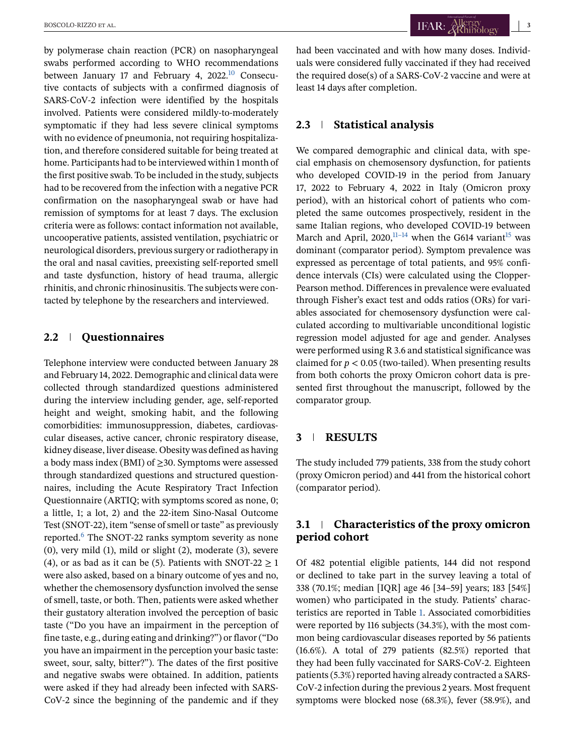by polymerase chain reaction (PCR) on nasopharyngeal swabs performed according to WHO recommendations between January 17 and February 4, 2022.<sup>10</sup> Consecutive contacts of subjects with a confirmed diagnosis of SARS-CoV-2 infection were identified by the hospitals involved. Patients were considered mildly-to-moderately symptomatic if they had less severe clinical symptoms with no evidence of pneumonia, not requiring hospitalization, and therefore considered suitable for being treated at home. Participants had to be interviewed within 1 month of the first positive swab. To be included in the study, subjects had to be recovered from the infection with a negative PCR confirmation on the nasopharyngeal swab or have had remission of symptoms for at least 7 days. The exclusion criteria were as follows: contact information not available, uncooperative patients, assisted ventilation, psychiatric or neurological disorders, previous surgery or radiotherapy in the oral and nasal cavities, preexisting self-reported smell and taste dysfunction, history of head trauma, allergic rhinitis, and chronic rhinosinusitis. The subjects were contacted by telephone by the researchers and interviewed.

## **2.2 Questionnaires**

Telephone interview were conducted between January 28 and February 14, 2022. Demographic and clinical data were collected through standardized questions administered during the interview including gender, age, self-reported height and weight, smoking habit, and the following comorbidities: immunosuppression, diabetes, cardiovascular diseases, active cancer, chronic respiratory disease, kidney disease, liver disease. Obesity was defined as having a body mass index (BMI) of  $\geq$ 30. Symptoms were assessed through standardized questions and structured questionnaires, including the Acute Respiratory Tract Infection Questionnaire (ARTIQ; with symptoms scored as none, 0; a little, 1; a lot, 2) and the 22-item Sino-Nasal Outcome Test (SNOT-22), item "sense of smell or taste" as previously reported[.6](#page-7-0) The SNOT-22 ranks symptom severity as none (0), very mild (1), mild or slight (2), moderate (3), severe (4), or as bad as it can be (5). Patients with SNOT-22  $\geq$  1 were also asked, based on a binary outcome of yes and no, whether the chemosensory dysfunction involved the sense of smell, taste, or both. Then, patients were asked whether their gustatory alteration involved the perception of basic taste ("Do you have an impairment in the perception of fine taste, e.g., during eating and drinking?") or flavor ("Do you have an impairment in the perception your basic taste: sweet, sour, salty, bitter?"). The dates of the first positive and negative swabs were obtained. In addition, patients were asked if they had already been infected with SARS-CoV-2 since the beginning of the pandemic and if they

had been vaccinated and with how many doses. Individuals were considered fully vaccinated if they had received the required dose(s) of a SARS-CoV-2 vaccine and were at least 14 days after completion.

## **2.3 Statistical analysis**

We compared demographic and clinical data, with special emphasis on chemosensory dysfunction, for patients who developed COVID-19 in the period from January 17, 2022 to February 4, 2022 in Italy (Omicron proxy period), with an historical cohort of patients who completed the same outcomes prospectively, resident in the same Italian regions, who developed COVID-19 between March and April,  $2020$ ,  $11-14$  when the G614 variant<sup>15</sup> was dominant (comparator period). Symptom prevalence was expressed as percentage of total patients, and 95% confidence intervals (CIs) were calculated using the Clopper-Pearson method. Differences in prevalence were evaluated through Fisher's exact test and odds ratios (ORs) for variables associated for chemosensory dysfunction were calculated according to multivariable unconditional logistic regression model adjusted for age and gender. Analyses were performed using R 3.6 and statistical significance was claimed for  $p < 0.05$  (two-tailed). When presenting results from both cohorts the proxy Omicron cohort data is presented first throughout the manuscript, followed by the comparator group.

## **3 RESULTS**

The study included 779 patients, 338 from the study cohort (proxy Omicron period) and 441 from the historical cohort (comparator period).

# **3.1 Characteristics of the proxy omicron period cohort**

Of 482 potential eligible patients, 144 did not respond or declined to take part in the survey leaving a total of 338 (70.1%; median [IQR] age 46 [34–59] years; 183 [54%] women) who participated in the study. Patients' characteristics are reported in Table [1.](#page-3-0) Associated comorbidities were reported by 116 subjects (34.3%), with the most common being cardiovascular diseases reported by 56 patients (16.6%). A total of 279 patients (82.5%) reported that they had been fully vaccinated for SARS-CoV-2. Eighteen patients (5.3%) reported having already contracted a SARS-CoV-2 infection during the previous 2 years. Most frequent symptoms were blocked nose (68.3%), fever (58.9%), and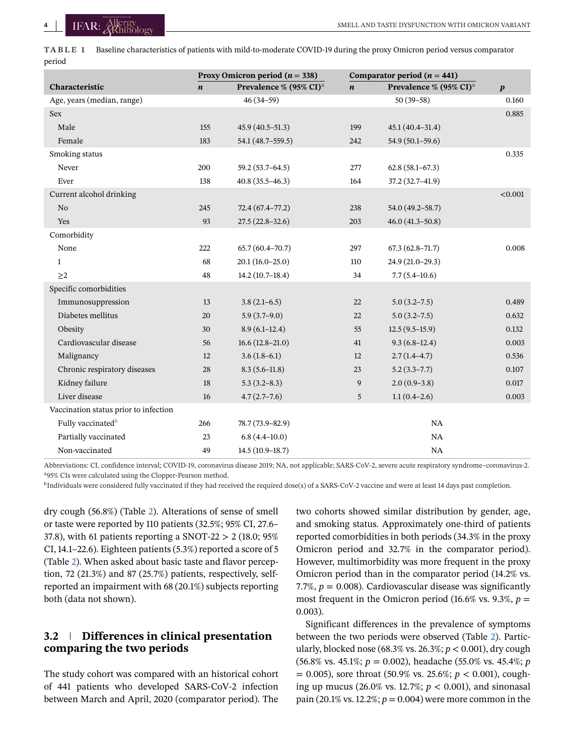<span id="page-3-0"></span>**TABLE 1** Baseline characteristics of patients with mild-to-moderate COVID-19 during the proxy Omicron period versus comparator period

|                                       | Proxy Omicron period ( $n = 338$ ) |                                    | Comparator period ( $n = 441$ ) |                                    |                  |
|---------------------------------------|------------------------------------|------------------------------------|---------------------------------|------------------------------------|------------------|
| Characteristic                        | $\boldsymbol{n}$                   | Prevalence % (95% CI) <sup>a</sup> | $\boldsymbol{n}$                | Prevalence % (95% CI) <sup>a</sup> | $\boldsymbol{p}$ |
| Age, years (median, range)            |                                    | $46(34-59)$                        |                                 | $50(39-58)$                        | 0.160            |
| <b>Sex</b>                            |                                    |                                    |                                 |                                    | 0.885            |
| Male                                  | 155                                | $45.9(40.5-51.3)$                  | 199                             | $45.1(40.4 - 31.4)$                |                  |
| Female                                | 183                                | 54.1 (48.7–559.5)                  | 242                             | $54.9(50.1 - 59.6)$                |                  |
| Smoking status                        |                                    |                                    |                                 |                                    | 0.335            |
| Never                                 | 200                                | $59.2(53.7 - 64.5)$                | 277                             | $62.8(58.1 - 67.3)$                |                  |
| Ever                                  | 138                                | $40.8(35.5 - 46.3)$                | 164                             | 37.2 (32.7-41.9)                   |                  |
| Current alcohol drinking              |                                    |                                    |                                 |                                    | < 0.001          |
| N <sub>0</sub>                        | 245                                | $72.4(67.4 - 77.2)$                | 238                             | 54.0 (49.2-58.7)                   |                  |
| Yes                                   | 93                                 | $27.5(22.8-32.6)$                  | 203                             | $46.0(41.3 - 50.8)$                |                  |
| Comorbidity                           |                                    |                                    |                                 |                                    |                  |
| None                                  | 222                                | $65.7(60.4 - 70.7)$                | 297                             | $67.3(62.8 - 71.7)$                | 0.008            |
| $\mathbf{1}$                          | 68                                 | $20.1(16.0-25.0)$                  | 110                             | $24.9(21.0-29.3)$                  |                  |
| $\geq$ 2                              | 48                                 | $14.2(10.7-18.4)$                  | 34                              | $7.7(5.4 - 10.6)$                  |                  |
| Specific comorbidities                |                                    |                                    |                                 |                                    |                  |
| Immunosuppression                     | 13                                 | $3.8(2.1-6.5)$                     | 22                              | $5.0(3.2 - 7.5)$                   | 0.489            |
| Diabetes mellitus                     | 20                                 | $5.9(3.7-9.0)$                     | 22                              | $5.0(3.2-7.5)$                     | 0.632            |
| Obesity                               | 30                                 | $8.9(6.1-12.4)$                    | 55                              | $12.5(9.5-15.9)$                   | 0.132            |
| Cardiovascular disease                | 56                                 | $16.6(12.8-21.0)$                  | 41                              | $9.3(6.8-12.4)$                    | 0.003            |
| Malignancy                            | 12                                 | $3.6(1.8-6.1)$                     | 12                              | $2.7(1.4-4.7)$                     | 0.536            |
| Chronic respiratory diseases          | 28                                 | $8.3(5.6-11.8)$                    | 23                              | $5.2(3.3 - 7.7)$                   | 0.107            |
| Kidney failure                        | 18                                 | $5.3(3.2-8.3)$                     | 9                               | $2.0(0.9-3.8)$                     | 0.017            |
| Liver disease                         | 16                                 | $4.7(2.7-7.6)$                     | 5                               | $1.1(0.4-2.6)$                     | 0.003            |
| Vaccination status prior to infection |                                    |                                    |                                 |                                    |                  |
| Fully vaccinated <sup>b</sup>         | 266                                | 78.7 (73.9–82.9)                   |                                 | NA                                 |                  |
| Partially vaccinated                  | 23                                 | $6.8(4.4 - 10.0)$                  |                                 | NA                                 |                  |
| Non-vaccinated                        | 49                                 | $14.5(10.9-18.7)$                  |                                 | <b>NA</b>                          |                  |

Abbreviations: CI, confidence interval; COVID-19, coronavirus disease 2019; NA, not applicable; SARS-CoV-2, severe acute respiratory syndrome–coronavirus-2. a95% CIs were calculated using the Clopper-Pearson method.

<sup>b</sup>Individuals were considered fully vaccinated if they had received the required dose(s) of a SARS-CoV-2 vaccine and were at least 14 days past completion.

dry cough (56.8%) (Table [2\)](#page-4-0). Alterations of sense of smell or taste were reported by 110 patients (32.5%; 95% CI, 27.6– 37.8), with 61 patients reporting a SNOT-22 > 2 (18.0; 95% CI, 14.1–22.6). Eighteen patients (5.3%) reported a score of 5 (Table [2\)](#page-4-0). When asked about basic taste and flavor perception, 72 (21.3%) and 87 (25.7%) patients, respectively, selfreported an impairment with 68 (20.1%) subjects reporting both (data not shown).

# **3.2 Differences in clinical presentation comparing the two periods**

The study cohort was compared with an historical cohort of 441 patients who developed SARS-CoV-2 infection between March and April, 2020 (comparator period). The

two cohorts showed similar distribution by gender, age, and smoking status. Approximately one-third of patients reported comorbidities in both periods (34.3% in the proxy Omicron period and 32.7% in the comparator period). However, multimorbidity was more frequent in the proxy Omicron period than in the comparator period (14.2% vs. 7.7%,  $p = 0.008$ ). Cardiovascular disease was significantly most frequent in the Omicron period (16.6% vs. 9.3%,  $p =$ 0.003).

Significant differences in the prevalence of symptoms between the two periods were observed (Table [2\)](#page-4-0). Particularly, blocked nose (68.3% vs. 26.3%; *p* < 0.001), dry cough (56.8% vs. 45.1%; *p* = 0.002), headache (55.0% vs. 45.4%; *p* = 0.005), sore throat (50.9% vs. 25.6%; *p* < 0.001), coughing up mucus (26.0% vs. 12.7%; *p* < 0.001), and sinonasal pain (20.1% vs. 12.2%; *p* = 0.004) were more common in the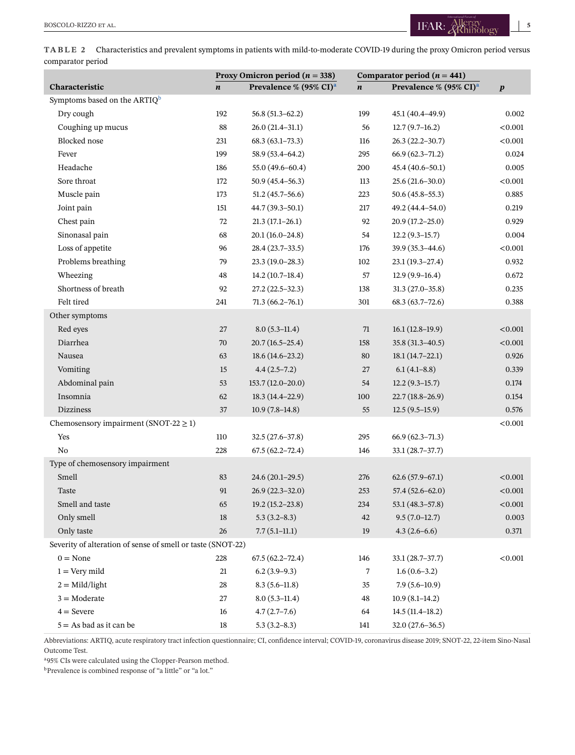<span id="page-4-0"></span>**TABLE 2** Characteristics and prevalent symptoms in patients with mild-to-moderate COVID-19 during the proxy Omicron period versus comparator period

|                                                             | Proxy Omicron period ( $n = 338$ ) |                                    | Comparator period $(n = 441)$ |                                    |                  |
|-------------------------------------------------------------|------------------------------------|------------------------------------|-------------------------------|------------------------------------|------------------|
| Characteristic                                              | $\boldsymbol{n}$                   | Prevalence % (95% CI) <sup>a</sup> | $\boldsymbol{n}$              | Prevalence % (95% CI) <sup>a</sup> | $\boldsymbol{p}$ |
| Symptoms based on the ARTIQ <sup>b</sup>                    |                                    |                                    |                               |                                    |                  |
| Dry cough                                                   | 192                                | $56.8(51.3 - 62.2)$                | 199                           | 45.1 (40.4-49.9)                   | 0.002            |
| Coughing up mucus                                           | 88                                 | $26.0(21.4-31.1)$                  | 56                            | $12.7(9.7-16.2)$                   | < 0.001          |
| Blocked nose                                                | 231                                | $68.3(63.1-73.3)$                  | 116                           | $26.3(22.2 - 30.7)$                | < 0.001          |
| Fever                                                       | 199                                | 58.9 (53.4-64.2)                   | 295                           | $66.9(62.3 - 71.2)$                | 0.024            |
| Headache                                                    | 186                                | 55.0 (49.6-60.4)                   | 200                           | 45.4 (40.6-50.1)                   | 0.005            |
| Sore throat                                                 | 172                                | $50.9(45.4 - 56.3)$                | 113                           | $25.6(21.6 - 30.0)$                | < 0.001          |
| Muscle pain                                                 | 173                                | $51.2(45.7-56.6)$                  | 223                           | $50.6(45.8-55.3)$                  | 0.885            |
| Joint pain                                                  | 151                                | $44.7(39.3 - 50.1)$                | 217                           | 49.2 (44.4-54.0)                   | 0.219            |
| Chest pain                                                  | 72                                 | $21.3(17.1-26.1)$                  | 92                            | $20.9(17.2 - 25.0)$                | 0.929            |
| Sinonasal pain                                              | 68                                 | $20.1(16.0-24.8)$                  | 54                            | $12.2(9.3-15.7)$                   | 0.004            |
| Loss of appetite                                            | 96                                 | 28.4 (23.7-33.5)                   | 176                           | 39.9 (35.3-44.6)                   | < 0.001          |
| Problems breathing                                          | 79                                 | $23.3(19.0-28.3)$                  | 102                           | $23.1(19.3-27.4)$                  | 0.932            |
| Wheezing                                                    | 48                                 | $14.2(10.7-18.4)$                  | 57                            | $12.9(9.9-16.4)$                   | 0.672            |
| Shortness of breath                                         | 92                                 | $27.2(22.5-32.3)$                  | 138                           | $31.3(27.0-35.8)$                  | 0.235            |
| Felt tired                                                  | 241                                | $71.3(66.2 - 76.1)$                | 301                           | $68.3(63.7-72.6)$                  | 0.388            |
| Other symptoms                                              |                                    |                                    |                               |                                    |                  |
| Red eyes                                                    | 27                                 | $8.0(5.3-11.4)$                    | 71                            | $16.1(12.8-19.9)$                  | < 0.001          |
| Diarrhea                                                    | 70                                 | $20.7(16.5-25.4)$                  | 158                           | $35.8(31.3 - 40.5)$                | < 0.001          |
| Nausea                                                      | 63                                 | $18.6(14.6-23.2)$                  | 80                            | $18.1(14.7-22.1)$                  | 0.926            |
| Vomiting                                                    | 15                                 | $4.4(2.5-7.2)$                     | 27                            | $6.1(4.1 - 8.8)$                   | 0.339            |
| Abdominal pain                                              | 53                                 | $153.7(12.0-20.0)$                 | 54                            | $12.2(9.3-15.7)$                   | 0.174            |
| Insomnia                                                    | 62                                 | $18.3(14.4 - 22.9)$                | 100                           | $22.7(18.8-26.9)$                  | 0.154            |
| <b>Dizziness</b>                                            | 37                                 | $10.9(7.8-14.8)$                   | 55                            | $12.5(9.5-15.9)$                   | 0.576            |
| Chemosensory impairment (SNOT-22 $\geq$ 1)                  |                                    |                                    |                               |                                    | $<\!\!0.001$     |
| Yes                                                         | 110                                | $32.5(27.6-37.8)$                  | 295                           | $66.9(62.3 - 71.3)$                |                  |
| No                                                          | 228                                | $67.5(62.2 - 72.4)$                | 146                           | $33.1(28.7-37.7)$                  |                  |
| Type of chemosensory impairment                             |                                    |                                    |                               |                                    |                  |
| Smell                                                       | 83                                 | $24.6(20.1-29.5)$                  | 276                           | $62.6(57.9-67.1)$                  | < 0.001          |
| <b>Taste</b>                                                | 91                                 | $26.9(22.3 - 32.0)$                | 253                           | $57.4(52.6 - 62.0)$                | < 0.001          |
| Smell and taste                                             | 65                                 | $19.2(15.2 - 23.8)$                | 234                           | $53.1(48.3 - 57.8)$                | < 0.001          |
| Only smell                                                  | 18                                 | $5.3(3.2 - 8.3)$                   | 42                            | $9.5(7.0-12.7)$                    | 0.003            |
| Only taste                                                  | $26\,$                             | $7.7(5.1-11.1)$                    | 19                            | $4.3(2.6-6.6)$                     | 0.371            |
| Severity of alteration of sense of smell or taste (SNOT-22) |                                    |                                    |                               |                                    |                  |
| $0 = None$                                                  | 228                                | $67.5(62.2 - 72.4)$                | 146                           | $33.1(28.7-37.7)$                  | < 0.001          |
| $1 = \text{Very mild}$                                      | 21                                 | $6.2(3.9-9.3)$                     | 7                             | $1.6(0.6-3.2)$                     |                  |
| $2 = Mid/light$                                             | 28                                 | $8.3(5.6-11.8)$                    | 35                            | $7.9(5.6-10.9)$                    |                  |
| $3 =$ Moderate                                              | 27                                 | $8.0(5.3-11.4)$                    | 48                            | $10.9(8.1 - 14.2)$                 |                  |
| $4 =$ Severe                                                | 16                                 | $4.7(2.7-7.6)$                     | 64                            | $14.5(11.4-18.2)$                  |                  |
| $5 = As$ bad as it can be                                   | $18\,$                             | $5.3(3.2 - 8.3)$                   | 141                           | $32.0(27.6 - 36.5)$                |                  |

Abbreviations: ARTIQ, acute respiratory tract infection questionnaire; CI, confidence interval; COVID-19, coronavirus disease 2019; SNOT-22, 22-item Sino-Nasal Outcome Test.

a95% CIs were calculated using the Clopper-Pearson method.

b<sub>Prevalence</sub> is combined response of "a little" or "a lot."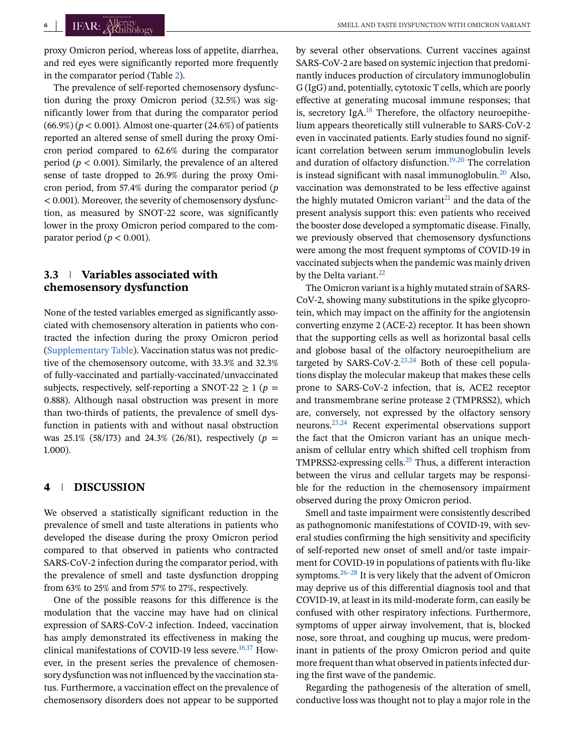proxy Omicron period, whereas loss of appetite, diarrhea, and red eyes were significantly reported more frequently in the comparator period (Table [2\)](#page-4-0).

The prevalence of self-reported chemosensory dysfunction during the proxy Omicron period (32.5%) was significantly lower from that during the comparator period  $(66.9%) (p < 0.001)$ . Almost one-quarter  $(24.6%)$  of patients reported an altered sense of smell during the proxy Omicron period compared to 62.6% during the comparator period ( $p < 0.001$ ). Similarly, the prevalence of an altered sense of taste dropped to 26.9% during the proxy Omicron period, from 57.4% during the comparator period (*p* < 0.001). Moreover, the severity of chemosensory dysfunction, as measured by SNOT-22 score, was significantly lower in the proxy Omicron period compared to the comparator period ( $p < 0.001$ ).

# **3.3 Variables associated with chemosensory dysfunction**

None of the tested variables emerged as significantly associated with chemosensory alteration in patients who contracted the infection during the proxy Omicron period (Supplementary Table). Vaccination status was not predictive of the chemosensory outcome, with 33.3% and 32.3% of fully-vaccinated and partially-vaccinated/unvaccinated subjects, respectively, self-reporting a SNOT-22  $\geq$  1 (*p* = 0.888). Although nasal obstruction was present in more than two-thirds of patients, the prevalence of smell dysfunction in patients with and without nasal obstruction was 25.1% (58/173) and 24.3% (26/81), respectively (*p* = 1.000).

# **4 DISCUSSION**

We observed a statistically significant reduction in the prevalence of smell and taste alterations in patients who developed the disease during the proxy Omicron period compared to that observed in patients who contracted SARS-CoV-2 infection during the comparator period, with the prevalence of smell and taste dysfunction dropping from 63% to 25% and from 57% to 27%, respectively.

One of the possible reasons for this difference is the modulation that the vaccine may have had on clinical expression of SARS-CoV-2 infection. Indeed, vaccination has amply demonstrated its effectiveness in making the clinical manifestations of COVID-19 less severe.<sup>16,17</sup> However, in the present series the prevalence of chemosensory dysfunction was not influenced by the vaccination status. Furthermore, a vaccination effect on the prevalence of chemosensory disorders does not appear to be supported

by several other observations. Current vaccines against SARS-CoV-2 are based on systemic injection that predominantly induces production of circulatory immunoglobulin G (IgG) and, potentially, cytotoxic T cells, which are poorly effective at generating mucosal immune responses; that is, secretory  $I\varnothing A$ <sup>18</sup> Therefore, the olfactory neuroepithelium appears theoretically still vulnerable to SARS-CoV-2 even in vaccinated patients. Early studies found no significant correlation between serum immunoglobulin levels and duration of olfactory disfunction.<sup>[19,20](#page-7-0)</sup> The correlation is instead significant with nasal immunoglobulin. $20$  Also, vaccination was demonstrated to be less effective against the highly mutated Omicron variant<sup>[21](#page-7-0)</sup> and the data of the present analysis support this: even patients who received the booster dose developed a symptomatic disease. Finally, we previously observed that chemosensory dysfunctions were among the most frequent symptoms of COVID-19 in vaccinated subjects when the pandemic was mainly driven by the Delta variant. $^{22}$ 

The Omicron variant is a highly mutated strain of SARS-CoV-2, showing many substitutions in the spike glycoprotein, which may impact on the affinity for the angiotensin converting enzyme 2 (ACE-2) receptor. It has been shown that the supporting cells as well as horizontal basal cells and globose basal of the olfactory neuroepithelium are targeted by SARS-CoV-2. $^{23,24}$  Both of these cell populations display the molecular makeup that makes these cells prone to SARS-CoV-2 infection, that is, ACE2 receptor and transmembrane serine protease 2 (TMPRSS2), which are, conversely, not expressed by the olfactory sensory neurons[.23,24](#page-7-0) Recent experimental observations support the fact that the Omicron variant has an unique mechanism of cellular entry which shifted cell trophism from TMPRSS2-expressing cells. $25$  Thus, a different interaction between the virus and cellular targets may be responsible for the reduction in the chemosensory impairment observed during the proxy Omicron period.

Smell and taste impairment were consistently described as pathognomonic manifestations of COVID-19, with several studies confirming the high sensitivity and specificity of self-reported new onset of smell and/or taste impairment for COVID-19 in populations of patients with flu-like symptoms. $26-28$  It is very likely that the advent of Omicron may deprive us of this differential diagnosis tool and that COVID-19, at least in its mild-moderate form, can easily be confused with other respiratory infections. Furthermore, symptoms of upper airway involvement, that is, blocked nose, sore throat, and coughing up mucus, were predominant in patients of the proxy Omicron period and quite more frequent than what observed in patients infected during the first wave of the pandemic.

Regarding the pathogenesis of the alteration of smell, conductive loss was thought not to play a major role in the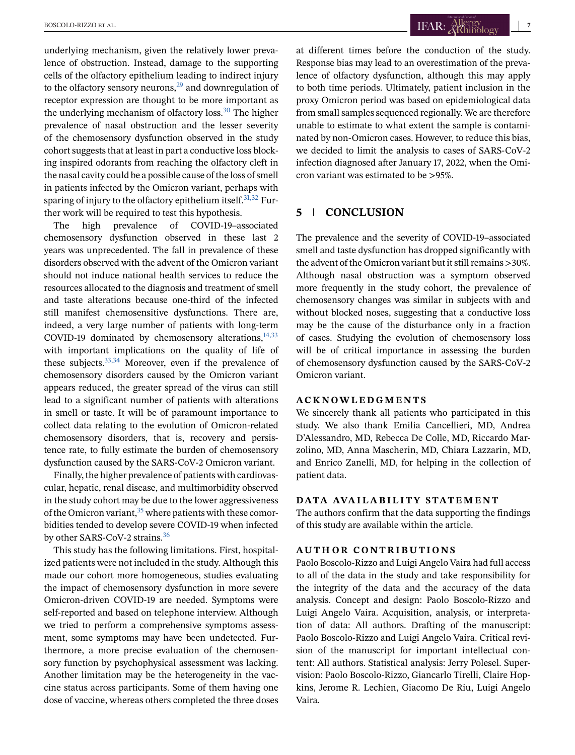underlying mechanism, given the relatively lower prevalence of obstruction. Instead, damage to the supporting cells of the olfactory epithelium leading to indirect injury to the olfactory sensory neurons, $^{29}$  $^{29}$  $^{29}$  and downregulation of receptor expression are thought to be more important as the underlying mechanism of olfactory  $loss<sup>30</sup>$ . The higher prevalence of nasal obstruction and the lesser severity of the chemosensory dysfunction observed in the study cohort suggests that at least in part a conductive loss blocking inspired odorants from reaching the olfactory cleft in the nasal cavity could be a possible cause of the loss of smell in patients infected by the Omicron variant, perhaps with sparing of injury to the olfactory epithelium itself.  $31,32$  Further work will be required to test this hypothesis.

The high prevalence of COVID-19–associated chemosensory dysfunction observed in these last 2 years was unprecedented. The fall in prevalence of these disorders observed with the advent of the Omicron variant should not induce national health services to reduce the resources allocated to the diagnosis and treatment of smell and taste alterations because one-third of the infected still manifest chemosensitive dysfunctions. There are, indeed, a very large number of patients with long-term COVID-19 dominated by chemosensory alterations, $14,33$ with important implications on the quality of life of these subjects.  $33,34$  Moreover, even if the prevalence of chemosensory disorders caused by the Omicron variant appears reduced, the greater spread of the virus can still lead to a significant number of patients with alterations in smell or taste. It will be of paramount importance to collect data relating to the evolution of Omicron-related chemosensory disorders, that is, recovery and persistence rate, to fully estimate the burden of chemosensory dysfunction caused by the SARS-CoV-2 Omicron variant.

Finally, the higher prevalence of patients with cardiovascular, hepatic, renal disease, and multimorbidity observed in the study cohort may be due to the lower aggressiveness of the Omicron variant, $35$  where patients with these comorbidities tended to develop severe COVID-19 when infected by other SARS-CoV-2 strains.<sup>36</sup>

This study has the following limitations. First, hospitalized patients were not included in the study. Although this made our cohort more homogeneous, studies evaluating the impact of chemosensory dysfunction in more severe Omicron-driven COVID-19 are needed. Symptoms were self-reported and based on telephone interview. Although we tried to perform a comprehensive symptoms assessment, some symptoms may have been undetected. Furthermore, a more precise evaluation of the chemosensory function by psychophysical assessment was lacking. Another limitation may be the heterogeneity in the vaccine status across participants. Some of them having one dose of vaccine, whereas others completed the three doses at different times before the conduction of the study. Response bias may lead to an overestimation of the prevalence of olfactory dysfunction, although this may apply to both time periods. Ultimately, patient inclusion in the proxy Omicron period was based on epidemiological data from small samples sequenced regionally. We are therefore unable to estimate to what extent the sample is contaminated by non-Omicron cases. However, to reduce this bias, we decided to limit the analysis to cases of SARS-CoV-2 infection diagnosed after January 17, 2022, when the Omicron variant was estimated to be >95%.

# **5 CONCLUSION**

The prevalence and the severity of COVID-19–associated smell and taste dysfunction has dropped significantly with the advent of the Omicron variant but it still remains >30%. Although nasal obstruction was a symptom observed more frequently in the study cohort, the prevalence of chemosensory changes was similar in subjects with and without blocked noses, suggesting that a conductive loss may be the cause of the disturbance only in a fraction of cases. Studying the evolution of chemosensory loss will be of critical importance in assessing the burden of chemosensory dysfunction caused by the SARS-CoV-2 Omicron variant.

#### **ACKNOWLEDGMENTS**

We sincerely thank all patients who participated in this study. We also thank Emilia Cancellieri, MD, Andrea D'Alessandro, MD, Rebecca De Colle, MD, Riccardo Marzolino, MD, Anna Mascherin, MD, Chiara Lazzarin, MD, and Enrico Zanelli, MD, for helping in the collection of patient data.

#### **DATA AVAILABILITY STATEMENT**

The authors confirm that the data supporting the findings of this study are available within the article.

#### **AUTHOR CONTRIBUTIONS**

Paolo Boscolo-Rizzo and Luigi Angelo Vaira had full access to all of the data in the study and take responsibility for the integrity of the data and the accuracy of the data analysis. Concept and design: Paolo Boscolo-Rizzo and Luigi Angelo Vaira. Acquisition, analysis, or interpretation of data: All authors. Drafting of the manuscript: Paolo Boscolo-Rizzo and Luigi Angelo Vaira. Critical revision of the manuscript for important intellectual content: All authors. Statistical analysis: Jerry Polesel. Supervision: Paolo Boscolo-Rizzo, Giancarlo Tirelli, Claire Hopkins, Jerome R. Lechien, Giacomo De Riu, Luigi Angelo Vaira.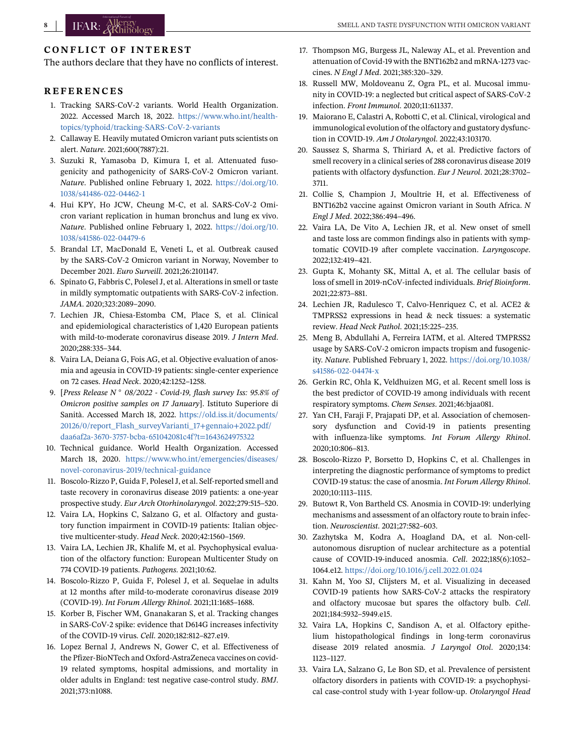# <span id="page-7-0"></span>**CONFLICT OF INTEREST**

The authors declare that they have no conflicts of interest.

## **REFERENCES**

- 1. Tracking SARS-CoV-2 variants. World Health Organization. 2022. Accessed March 18, 2022. [https://www.who.int/health](https://www.who.int/health-topics/typhoid/tracking-SARS-CoV-2-variants)[topics/typhoid/tracking-SARS-CoV-2-variants](https://www.who.int/health-topics/typhoid/tracking-SARS-CoV-2-variants)
- 2. Callaway E. Heavily mutated Omicron variant puts scientists on alert. *Nature*. 2021;600(7887):21.
- 3. Suzuki R, Yamasoba D, Kimura I, et al. Attenuated fusogenicity and pathogenicity of SARS-CoV-2 Omicron variant. *Nature*. Published online February 1, 2022. [https://doi.org/10.](https://doi.org/10.1038/s41486-022-04462-1) [1038/s41486-022-04462-1](https://doi.org/10.1038/s41486-022-04462-1)
- 4. Hui KPY, Ho JCW, Cheung M-C, et al. SARS-CoV-2 Omicron variant replication in human bronchus and lung ex vivo. *Nature*. Published online February 1, 2022. [https://doi.org/10.](https://doi.org/10.1038/s41586-022-04479-6) [1038/s41586-022-04479-6](https://doi.org/10.1038/s41586-022-04479-6)
- 5. Brandal LT, MacDonald E, Veneti L, et al. Outbreak caused by the SARS-CoV-2 Omicron variant in Norway, November to December 2021. *Euro Surveill*. 2021;26:2101147.
- 6. Spinato G, Fabbris C, Polesel J, et al. Alterations in smell or taste in mildly symptomatic outpatients with SARS-CoV-2 infection. *JAMA*. 2020;323:2089–2090.
- 7. Lechien JR, Chiesa-Estomba CM, Place S, et al. Clinical and epidemiological characteristics of 1,420 European patients with mild-to-moderate coronavirus disease 2019. *J Intern Med*. 2020;288:335–344.
- 8. Vaira LA, Deiana G, Fois AG, et al. Objective evaluation of anosmia and ageusia in COVID-19 patients: single-center experience on 72 cases. *Head Neck*. 2020;42:1252–1258.
- 9. [*Press Release N 08/2022 Covid-19, flash survey Iss: 95.8% of Omicron positive samples on 17 January*]. Istituto Superiore di Sanità. Accessed March 18, 2022. [https://old.iss.it/documents/](https://old.iss.it/documents/20126/0/report_Flash_surveyVarianti_17%2Bgennaio%2B2022.pdf/daa6af2a-3670-3757-bcba-651042081c4f?t=1643624975322) [20126/0/report\\_Flash\\_surveyVarianti\\_17+gennaio+2022.pdf/](https://old.iss.it/documents/20126/0/report_Flash_surveyVarianti_17%2Bgennaio%2B2022.pdf/daa6af2a-3670-3757-bcba-651042081c4f?t=1643624975322) [daa6af2a-3670-3757-bcba-651042081c4f?t=1643624975322](https://old.iss.it/documents/20126/0/report_Flash_surveyVarianti_17%2Bgennaio%2B2022.pdf/daa6af2a-3670-3757-bcba-651042081c4f?t=1643624975322)
- 10. Technical guidance. World Health Organization. Accessed March 18, 2020. [https://www.who.int/emergencies/diseases/](https://www.who.int/emergencies/diseases/novel-coronavirus-2019/technical-guidance) [novel-coronavirus-2019/technical-guidance](https://www.who.int/emergencies/diseases/novel-coronavirus-2019/technical-guidance)
- 11. Boscolo-Rizzo P, Guida F, Polesel J, et al. Self-reported smell and taste recovery in coronavirus disease 2019 patients: a one-year prospective study. *Eur Arch Otorhinolaryngol*. 2022;279:515–520.
- 12. Vaira LA, Hopkins C, Salzano G, et al. Olfactory and gustatory function impairment in COVID-19 patients: Italian objective multicenter-study. *Head Neck*. 2020;42:1560–1569.
- 13. Vaira LA, Lechien JR, Khalife M, et al. Psychophysical evaluation of the olfactory function: European Multicenter Study on 774 COVID-19 patients. *Pathogens*. 2021;10:62.
- 14. Boscolo-Rizzo P, Guida F, Polesel J, et al. Sequelae in adults at 12 months after mild-to-moderate coronavirus disease 2019 (COVID-19). *Int Forum Allergy Rhinol*. 2021;11:1685–1688.
- 15. Korber B, Fischer WM, Gnanakaran S, et al. Tracking changes in SARS-CoV-2 spike: evidence that D614G increases infectivity of the COVID-19 virus. *Cell*. 2020;182:812–827.e19.
- 16. Lopez Bernal J, Andrews N, Gower C, et al. Effectiveness of the Pfizer-BioNTech and Oxford-AstraZeneca vaccines on covid-19 related symptoms, hospital admissions, and mortality in older adults in England: test negative case-control study. *BMJ*. 2021;373:n1088.
- 17. Thompson MG, Burgess JL, Naleway AL, et al. Prevention and attenuation of Covid-19 with the BNT162b2 and mRNA-1273 vaccines. *N Engl J Med*. 2021;385:320–329.
- 18. Russell MW, Moldoveanu Z, Ogra PL, et al. Mucosal immunity in COVID-19: a neglected but critical aspect of SARS-CoV-2 infection. *Front Immunol*. 2020;11:611337.
- 19. Maiorano E, Calastri A, Robotti C, et al. Clinical, virological and immunological evolution of the olfactory and gustatory dysfunction in COVID-19. *Am J Otolaryngol*. 2022;43:103170.
- 20. Saussez S, Sharma S, Thiriard A, et al. Predictive factors of smell recovery in a clinical series of 288 coronavirus disease 2019 patients with olfactory dysfunction. *Eur J Neurol*. 2021;28:3702– 3711.
- 21. Collie S, Champion J, Moultrie H, et al. Effectiveness of BNT162b2 vaccine against Omicron variant in South Africa. *N Engl J Med*. 2022;386:494–496.
- 22. Vaira LA, De Vito A, Lechien JR, et al. New onset of smell and taste loss are common findings also in patients with symptomatic COVID-19 after complete vaccination. *Laryngoscope*. 2022;132:419–421.
- 23. Gupta K, Mohanty SK, Mittal A, et al. The cellular basis of loss of smell in 2019-nCoV-infected individuals. *Brief Bioinform*. 2021;22:873–881.
- 24. Lechien JR, Radulesco T, Calvo-Henriquez C, et al. ACE2 & TMPRSS2 expressions in head & neck tissues: a systematic review. *Head Neck Pathol*. 2021;15:225–235.
- 25. Meng B, Abdullahi A, Ferreira IATM, et al. Altered TMPRSS2 usage by SARS-CoV-2 omicron impacts tropism and fusogenicity. *Nature*. Published February 1, 2022. [https://doi.org/10.1038/](https://doi.org/10.1038/s41586-022-04474-x) [s41586-022-04474-x](https://doi.org/10.1038/s41586-022-04474-x)
- 26. Gerkin RC, Ohla K, Veldhuizen MG, et al. Recent smell loss is the best predictor of COVID-19 among individuals with recent respiratory symptoms. *Chem Senses*. 2021;46:bjaa081.
- 27. Yan CH, Faraji F, Prajapati DP, et al. Association of chemosensory dysfunction and Covid-19 in patients presenting with influenza-like symptoms. *Int Forum Allergy Rhinol*. 2020;10:806–813.
- 28. Boscolo-Rizzo P, Borsetto D, Hopkins C, et al. Challenges in interpreting the diagnostic performance of symptoms to predict COVID-19 status: the case of anosmia. *Int Forum Allergy Rhinol*. 2020;10:1113–1115.
- 29. Butowt R, Von Bartheld CS. Anosmia in COVID-19: underlying mechanisms and assessment of an olfactory route to brain infection. *Neuroscientist*. 2021;27:582–603.
- 30. Zazhytska M, Kodra A, Hoagland DA, et al. Non-cellautonomous disruption of nuclear architecture as a potential cause of COVID-19-induced anosmia. *Cell*. 2022;185(6):1052– 1064.e12. <https://doi.org/10.1016/j.cell.2022.01.024>
- 31. Kahn M, Yoo SJ, Clijsters M, et al. Visualizing in deceased COVID-19 patients how SARS-CoV-2 attacks the respiratory and olfactory mucosae but spares the olfactory bulb. *Cell*. 2021;184:5932–5949.e15.
- 32. Vaira LA, Hopkins C, Sandison A, et al. Olfactory epithelium histopathological findings in long-term coronavirus disease 2019 related anosmia. *J Laryngol Otol*. 2020;134: 1123–1127.
- 33. Vaira LA, Salzano G, Le Bon SD, et al. Prevalence of persistent olfactory disorders in patients with COVID-19: a psychophysical case-control study with 1-year follow-up. *Otolaryngol Head*